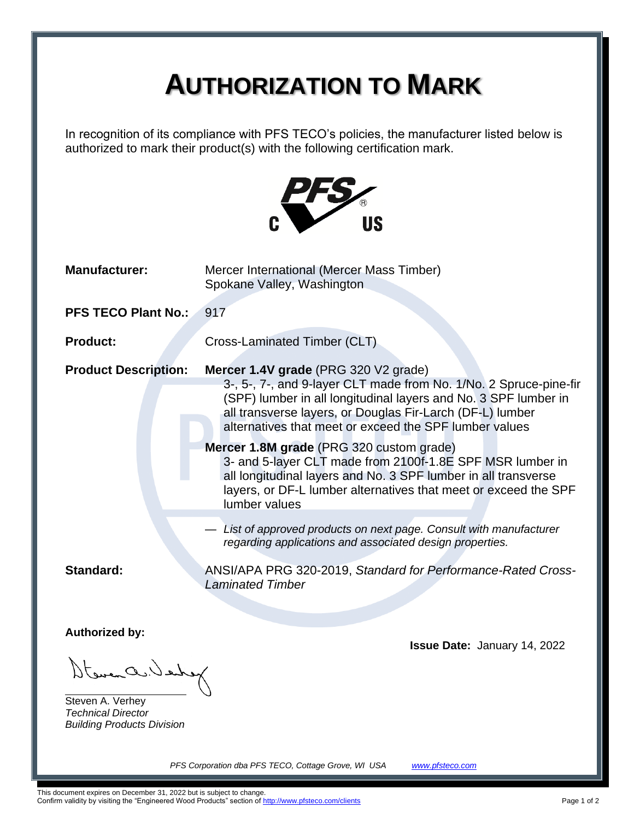## **AUTHORIZATION TO MARK**

In recognition of its compliance with PFS TECO's policies, the manufacturer listed below is authorized to mark their product(s) with the following certification mark.



| <b>Manufacturer:</b>                    | Mercer International (Mercer Mass Timber)<br>Spokane Valley, Washington                                                                                                                                                                                                                             |  |  |  |  |  |  |
|-----------------------------------------|-----------------------------------------------------------------------------------------------------------------------------------------------------------------------------------------------------------------------------------------------------------------------------------------------------|--|--|--|--|--|--|
| <b>PFS TECO Plant No.:</b>              | 917                                                                                                                                                                                                                                                                                                 |  |  |  |  |  |  |
| <b>Product:</b>                         | Cross-Laminated Timber (CLT)                                                                                                                                                                                                                                                                        |  |  |  |  |  |  |
| <b>Product Description:</b>             | Mercer 1.4V grade (PRG 320 V2 grade)<br>3-, 5-, 7-, and 9-layer CLT made from No. 1/No. 2 Spruce-pine-fir<br>(SPF) lumber in all longitudinal layers and No. 3 SPF lumber in<br>all transverse layers, or Douglas Fir-Larch (DF-L) lumber<br>alternatives that meet or exceed the SPF lumber values |  |  |  |  |  |  |
|                                         | Mercer 1.8M grade (PRG 320 custom grade)<br>3- and 5-layer CLT made from 2100f-1.8E SPF MSR lumber in<br>all longitudinal layers and No. 3 SPF lumber in all transverse<br>layers, or DF-L lumber alternatives that meet or exceed the SPF<br>lumber values                                         |  |  |  |  |  |  |
|                                         | - List of approved products on next page. Consult with manufacturer<br>regarding applications and associated design properties.                                                                                                                                                                     |  |  |  |  |  |  |
| Standard:                               | ANSI/APA PRG 320-2019, Standard for Performance-Rated Cross-<br><b>Laminated Timber</b>                                                                                                                                                                                                             |  |  |  |  |  |  |
| <b>Authorized by:</b><br>towen a. Ishof | <b>Issue Date: January 14, 2022</b>                                                                                                                                                                                                                                                                 |  |  |  |  |  |  |

Steven A. Verhey *Technical Director Building Products Division*

*PFS Corporation dba PFS TECO, Cottage Grove, WI USA [www.pfsteco.com](http://www.pfsteco.com/)*